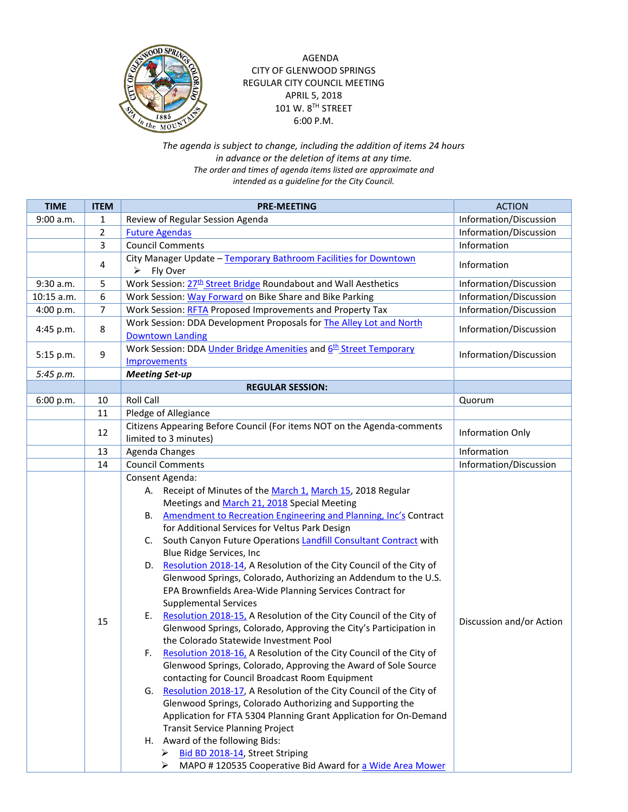

AGENDA CITY OF GLENWOOD SPRINGS REGULAR CITY COUNCIL MEETING APRIL 5, 2018 101 W. 8TH STREET 6:00 P.M.

*The agenda is subject to change, including the addition of items 24 hours in advance or the deletion of items at any time. The order and times of agenda items listed are approximate and intended as a guideline for the City Council.*

| <b>TIME</b> | <b>ITEM</b> | <b>PRE-MEETING</b>                                                                                                                                                                                                                                                                                                                                                                                                                                                                                                                                                                                                                                                                                                                                                                                                                                                                                                                                                                                                                                                                                                                                                                                                                                                                                                                                                                                     | <b>ACTION</b>            |
|-------------|-------------|--------------------------------------------------------------------------------------------------------------------------------------------------------------------------------------------------------------------------------------------------------------------------------------------------------------------------------------------------------------------------------------------------------------------------------------------------------------------------------------------------------------------------------------------------------------------------------------------------------------------------------------------------------------------------------------------------------------------------------------------------------------------------------------------------------------------------------------------------------------------------------------------------------------------------------------------------------------------------------------------------------------------------------------------------------------------------------------------------------------------------------------------------------------------------------------------------------------------------------------------------------------------------------------------------------------------------------------------------------------------------------------------------------|--------------------------|
| 9:00 a.m.   | 1           | Review of Regular Session Agenda                                                                                                                                                                                                                                                                                                                                                                                                                                                                                                                                                                                                                                                                                                                                                                                                                                                                                                                                                                                                                                                                                                                                                                                                                                                                                                                                                                       | Information/Discussion   |
|             | 2           | <b>Future Agendas</b>                                                                                                                                                                                                                                                                                                                                                                                                                                                                                                                                                                                                                                                                                                                                                                                                                                                                                                                                                                                                                                                                                                                                                                                                                                                                                                                                                                                  | Information/Discussion   |
|             | 3           | <b>Council Comments</b>                                                                                                                                                                                                                                                                                                                                                                                                                                                                                                                                                                                                                                                                                                                                                                                                                                                                                                                                                                                                                                                                                                                                                                                                                                                                                                                                                                                | Information              |
|             | 4           | City Manager Update - Temporary Bathroom Facilities for Downtown<br>$\triangleright$ Fly Over                                                                                                                                                                                                                                                                                                                                                                                                                                                                                                                                                                                                                                                                                                                                                                                                                                                                                                                                                                                                                                                                                                                                                                                                                                                                                                          | Information              |
| 9:30 a.m.   | 5           | Work Session: 27 <sup>th</sup> Street Bridge Roundabout and Wall Aesthetics                                                                                                                                                                                                                                                                                                                                                                                                                                                                                                                                                                                                                                                                                                                                                                                                                                                                                                                                                                                                                                                                                                                                                                                                                                                                                                                            | Information/Discussion   |
| 10:15 a.m.  | 6           | Work Session: Way Forward on Bike Share and Bike Parking                                                                                                                                                                                                                                                                                                                                                                                                                                                                                                                                                                                                                                                                                                                                                                                                                                                                                                                                                                                                                                                                                                                                                                                                                                                                                                                                               | Information/Discussion   |
| 4:00 p.m.   | 7           | Work Session: RFTA Proposed Improvements and Property Tax                                                                                                                                                                                                                                                                                                                                                                                                                                                                                                                                                                                                                                                                                                                                                                                                                                                                                                                                                                                                                                                                                                                                                                                                                                                                                                                                              | Information/Discussion   |
| 4:45 p.m.   | 8           | Work Session: DDA Development Proposals for The Alley Lot and North<br><b>Downtown Landing</b>                                                                                                                                                                                                                                                                                                                                                                                                                                                                                                                                                                                                                                                                                                                                                                                                                                                                                                                                                                                                                                                                                                                                                                                                                                                                                                         | Information/Discussion   |
| 5:15 p.m.   | 9           | Work Session: DDA Under Bridge Amenities and 6 <sup>th</sup> Street Temporary<br>Improvements                                                                                                                                                                                                                                                                                                                                                                                                                                                                                                                                                                                                                                                                                                                                                                                                                                                                                                                                                                                                                                                                                                                                                                                                                                                                                                          | Information/Discussion   |
| 5:45 p.m.   |             | <b>Meeting Set-up</b>                                                                                                                                                                                                                                                                                                                                                                                                                                                                                                                                                                                                                                                                                                                                                                                                                                                                                                                                                                                                                                                                                                                                                                                                                                                                                                                                                                                  |                          |
|             |             | <b>REGULAR SESSION:</b>                                                                                                                                                                                                                                                                                                                                                                                                                                                                                                                                                                                                                                                                                                                                                                                                                                                                                                                                                                                                                                                                                                                                                                                                                                                                                                                                                                                |                          |
| 6:00 p.m.   | 10          | <b>Roll Call</b>                                                                                                                                                                                                                                                                                                                                                                                                                                                                                                                                                                                                                                                                                                                                                                                                                                                                                                                                                                                                                                                                                                                                                                                                                                                                                                                                                                                       | Quorum                   |
|             | 11          | Pledge of Allegiance                                                                                                                                                                                                                                                                                                                                                                                                                                                                                                                                                                                                                                                                                                                                                                                                                                                                                                                                                                                                                                                                                                                                                                                                                                                                                                                                                                                   |                          |
|             | 12          | Citizens Appearing Before Council (For items NOT on the Agenda-comments<br>limited to 3 minutes)                                                                                                                                                                                                                                                                                                                                                                                                                                                                                                                                                                                                                                                                                                                                                                                                                                                                                                                                                                                                                                                                                                                                                                                                                                                                                                       | Information Only         |
|             | 13          | Agenda Changes                                                                                                                                                                                                                                                                                                                                                                                                                                                                                                                                                                                                                                                                                                                                                                                                                                                                                                                                                                                                                                                                                                                                                                                                                                                                                                                                                                                         | Information              |
|             | 14          | <b>Council Comments</b>                                                                                                                                                                                                                                                                                                                                                                                                                                                                                                                                                                                                                                                                                                                                                                                                                                                                                                                                                                                                                                                                                                                                                                                                                                                                                                                                                                                | Information/Discussion   |
|             | 15          | Consent Agenda:<br>Receipt of Minutes of the March 1, March 15, 2018 Regular<br>А.<br>Meetings and March 21, 2018 Special Meeting<br>Amendment to Recreation Engineering and Planning, Inc's Contract<br>В.<br>for Additional Services for Veltus Park Design<br>South Canyon Future Operations Landfill Consultant Contract with<br>C.<br>Blue Ridge Services, Inc<br>Resolution 2018-14, A Resolution of the City Council of the City of<br>D.<br>Glenwood Springs, Colorado, Authorizing an Addendum to the U.S.<br>EPA Brownfields Area-Wide Planning Services Contract for<br><b>Supplemental Services</b><br>Resolution 2018-15, A Resolution of the City Council of the City of<br>Ε.<br>Glenwood Springs, Colorado, Approving the City's Participation in<br>the Colorado Statewide Investment Pool<br>Resolution 2018-16, A Resolution of the City Council of the City of<br>F.<br>Glenwood Springs, Colorado, Approving the Award of Sole Source<br>contacting for Council Broadcast Room Equipment<br>G. Resolution 2018-17, A Resolution of the City Council of the City of<br>Glenwood Springs, Colorado Authorizing and Supporting the<br>Application for FTA 5304 Planning Grant Application for On-Demand<br><b>Transit Service Planning Project</b><br>H. Award of the following Bids:<br>Bid BD 2018-14, Street Striping<br>MAPO #120535 Cooperative Bid Award for a Wide Area Mower | Discussion and/or Action |